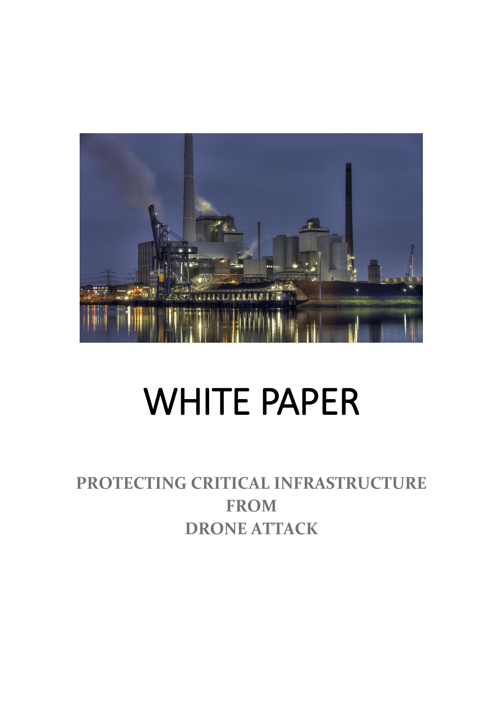

# WHITE PAPER

## **PROTECTING CRITICAL INFRASTRUCTURE FROM DRONE ATTACK**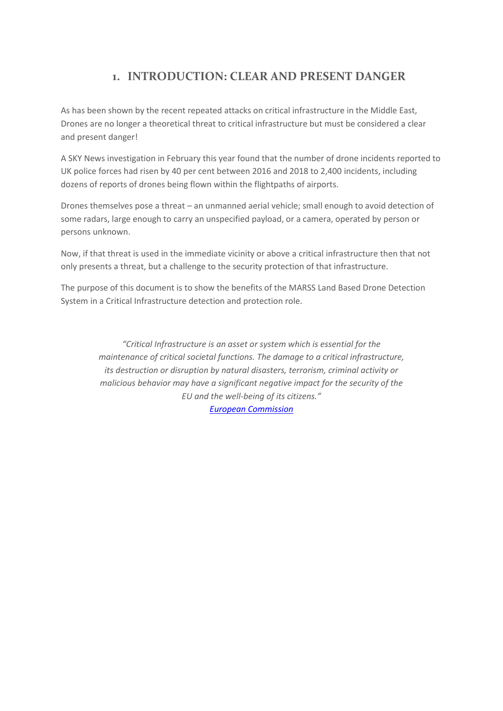## **1. INTRODUCTION: CLEAR AND PRESENT DANGER**

As has been shown by the recent repeated attacks on critical infrastructure in the Middle East, Drones are no longer a theoretical threat to critical infrastructure but must be considered a clear and present danger!

A SKY News investigation in February this year found that the number of drone incidents reported to UK police forces had risen by 40 per cent between 2016 and 2018 to 2,400 incidents, including dozens of reports of drones being flown within the flightpaths of airports.

Drones themselves pose a threat – an unmanned aerial vehicle; small enough to avoid detection of some radars, large enough to carry an unspecified payload, or a camera, operated by person or persons unknown.

Now, if that threat is used in the immediate vicinity or above a critical infrastructure then that not only presents a threat, but a challenge to the security protection of that infrastructure.

The purpose of this document is to show the benefits of the MARSS Land Based Drone Detection System in a Critical Infrastructure detection and protection role.

> *"Critical Infrastructure is an asset or system which is essential for the maintenance of critical societal functions. The damage to a critical infrastructure, its destruction or disruption by natural disasters, terrorism, criminal activity or malicious behavior may have a significant negative impact for the security of the EU and the well-being of its citizens." [European Commission](https://ec.europa.eu/home-affairs/what-we-do/policies/crisis-and-terrorism/critical-infrastructure_en)*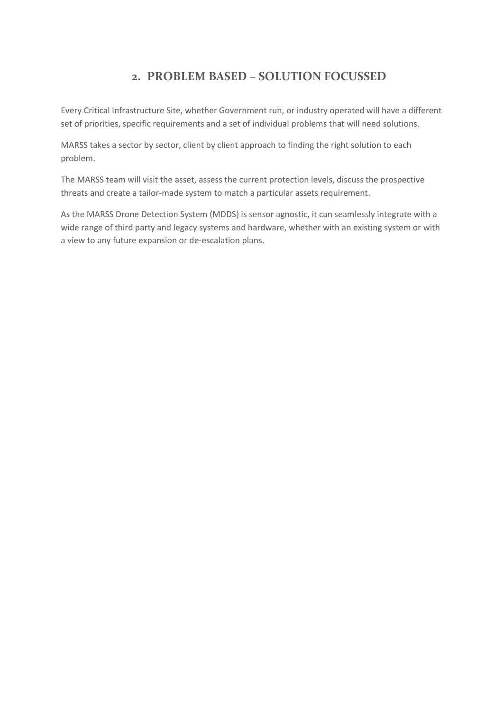## **2. PROBLEM BASED – SOLUTION FOCUSSED**

Every Critical Infrastructure Site, whether Government run, or industry operated will have a different set of priorities, specific requirements and a set of individual problems that will need solutions.

MARSS takes a sector by sector, client by client approach to finding the right solution to each problem.

The MARSS team will visit the asset, assess the current protection levels, discuss the prospective threats and create a tailor-made system to match a particular assets requirement.

As the MARSS Drone Detection System (MDDS) is sensor agnostic, it can seamlessly integrate with a wide range of third party and legacy systems and hardware, whether with an existing system or with a view to any future expansion or de-escalation plans.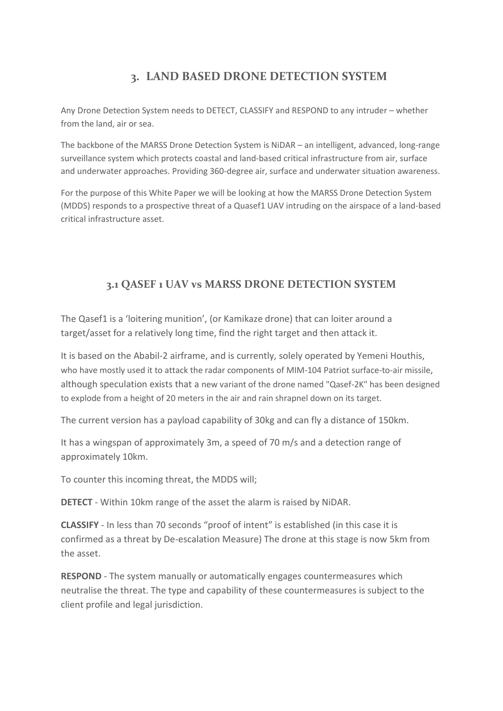## **3. LAND BASED DRONE DETECTION SYSTEM**

Any Drone Detection System needs to DETECT, CLASSIFY and RESPOND to any intruder – whether from the land, air or sea.

The backbone of the MARSS Drone Detection System is NiDAR – an intelligent, advanced, long-range surveillance system which protects coastal and land-based critical infrastructure from air, surface and underwater approaches. Providing 360-degree air, surface and underwater situation awareness.

For the purpose of this White Paper we will be looking at how the MARSS Drone Detection System (MDDS) responds to a prospective threat of a Quasef1 UAV intruding on the airspace of a land-based critical infrastructure asset.

## **3.1 QASEF 1 UAV vs MARSS DRONE DETECTION SYSTEM**

The Qasef1 is a 'loitering munition', (or Kamikaze drone) that can loiter around a target/asset for a relatively long time, find the right target and then attack it.

It is based on the Ababil-2 airframe, and is currently, solely operated by Yemeni Houthis, who have mostly used it to attack the radar components of [MIM-104](https://en.wikipedia.org/wiki/MIM-104_Patriot) Patriot surface-to-air missile, although speculation exists that a new variant of the drone named "Qasef-2K" has been designed to explode from a height of 20 meters in the air and rain shrapnel down on its target.

The current version has a payload capability of 30kg and can fly a distance of 150km.

It has a wingspan of approximately 3m, a speed of 70 m/s and a detection range of approximately 10km.

To counter this incoming threat, the MDDS will;

**DETECT** - Within 10km range of the asset the alarm is raised by NiDAR.

**CLASSIFY** - In less than 70 seconds "proof of intent" is established (in this case it is confirmed as a threat by De-escalation Measure) The drone at this stage is now 5km from the asset.

**RESPOND** - The system manually or automatically engages countermeasures which neutralise the threat. The type and capability of these countermeasures is subject to the client profile and legal jurisdiction.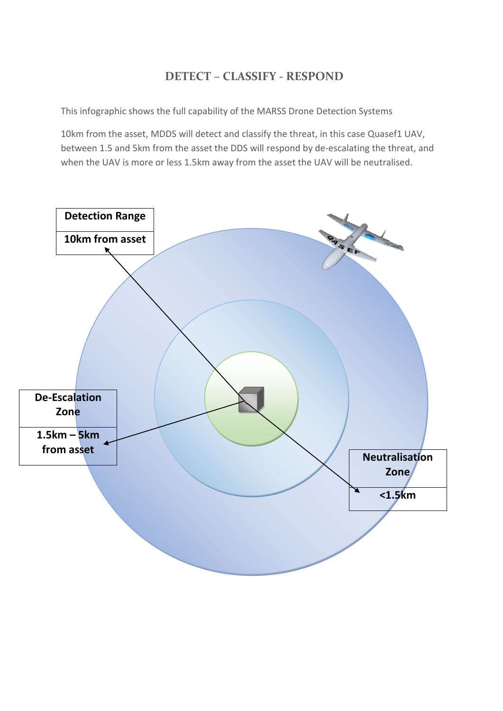## **DETECT – CLASSIFY - RESPOND**

This infographic shows the full capability of the MARSS Drone Detection Systems

10km from the asset, MDDS will detect and classify the threat, in this case Quasef1 UAV, between 1.5 and 5km from the asset the DDS will respond by de-escalating the threat, and when the UAV is more or less 1.5km away from the asset the UAV will be neutralised.

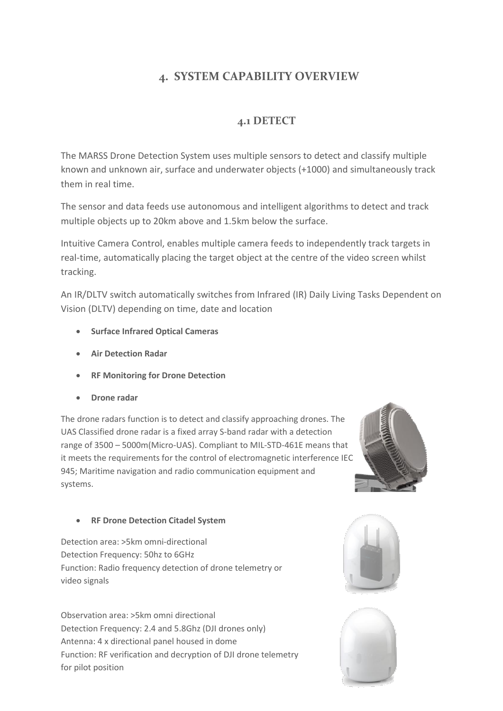## **4. SYSTEM CAPABILITY OVERVIEW**

## **4.1 DETECT**

The MARSS Drone Detection System uses multiple sensors to detect and classify multiple known and unknown air, surface and underwater objects (+1000) and simultaneously track them in real time.

The sensor and data feeds use autonomous and intelligent algorithms to detect and track multiple objects up to 20km above and 1.5km below the surface.

Intuitive Camera Control, enables multiple camera feeds to independently track targets in real-time, automatically placing the target object at the centre of the video screen whilst tracking.

An IR/DLTV switch automatically switches from Infrared (IR) Daily Living Tasks Dependent on Vision (DLTV) depending on time, date and location

- **Surface Infrared Optical Cameras**
- **Air Detection Radar**
- **RF Monitoring for Drone Detection**
- **Drone radar**

The drone radars function is to detect and classify approaching drones. The UAS Classified drone radar is a fixed array S-band radar with a detection range of 3500 – 5000m(Micro-UAS). Compliant to MIL-STD-461E means that it meets the requirements for the control of electromagnetic interference IEC 945; Maritime navigation and radio communication equipment and systems.



#### • **RF Drone Detection Citadel System**

Detection area: >5km omni-directional Detection Frequency: 50hz to 6GHz Function: Radio frequency detection of drone telemetry or video signals

Observation area: >5km omni directional Detection Frequency: 2.4 and 5.8Ghz (DJI drones only) Antenna: 4 x directional panel housed in dome Function: RF verification and decryption of DJI drone telemetry for pilot position



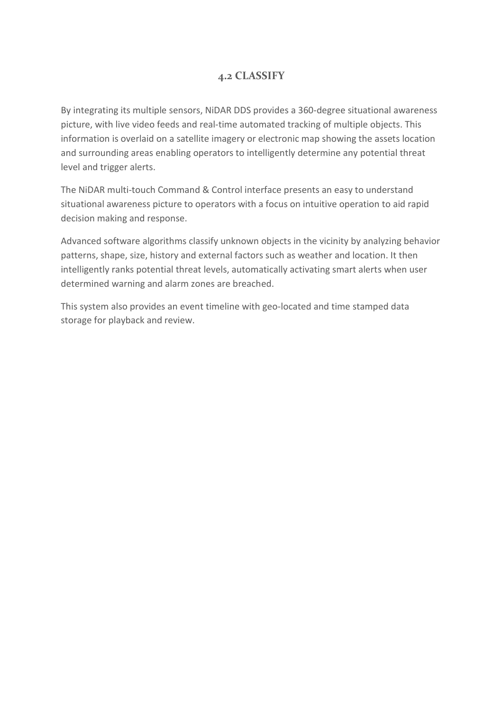## **4.2 CLASSIFY**

By integrating its multiple sensors, NiDAR DDS provides a 360-degree situational awareness picture, with live video feeds and real-time automated tracking of multiple objects. This information is overlaid on a satellite imagery or electronic map showing the assets location and surrounding areas enabling operators to intelligently determine any potential threat level and trigger alerts.

The NiDAR multi-touch Command & Control interface presents an easy to understand situational awareness picture to operators with a focus on intuitive operation to aid rapid decision making and response.

Advanced software algorithms classify unknown objects in the vicinity by analyzing behavior patterns, shape, size, history and external factors such as weather and location. It then intelligently ranks potential threat levels, automatically activating smart alerts when user determined warning and alarm zones are breached.

This system also provides an event timeline with geo-located and time stamped data storage for playback and review.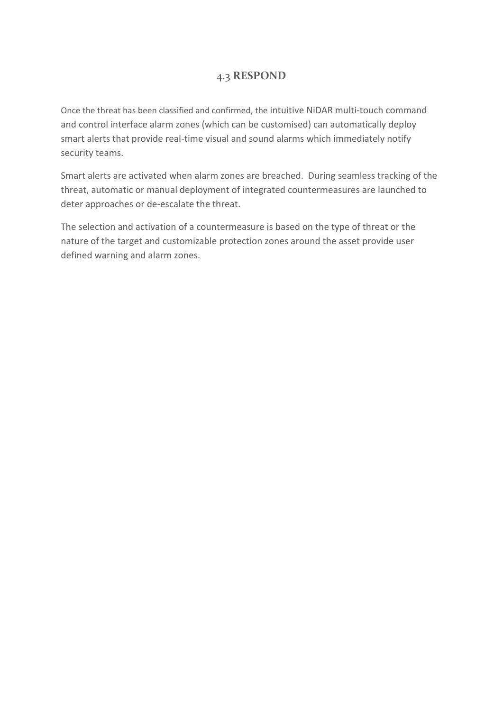#### 4.3 **RESPOND**

Once the threat has been classified and confirmed, the intuitive NiDAR multi-touch command and control interface alarm zones (which can be customised) can automatically deploy smart alerts that provide real-time visual and sound alarms which immediately notify security teams.

Smart alerts are activated when alarm zones are breached. During seamless tracking of the threat, automatic or manual deployment of integrated countermeasures are launched to deter approaches or de-escalate the threat.

The selection and activation of a countermeasure is based on the type of threat or the nature of the target and customizable protection zones around the asset provide user defined warning and alarm zones.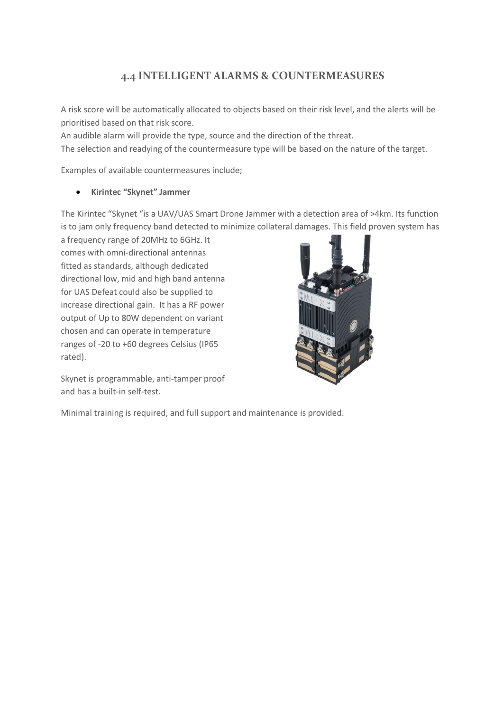## **4.4 INTELLIGENT ALARMS & COUNTERMEASURES**

A risk score will be automatically allocated to objects based on their risk level, and the alerts will be prioritised based on that risk score.

An audible alarm will provide the type, source and the direction of the threat.

The selection and readying of the countermeasure type will be based on the nature of the target.

Examples of available countermeasures include;

#### • **Kirintec "Skynet" Jammer**

The Kirintec "Skynet "is a UAV/UAS Smart Drone Jammer with a detection area of >4km. Its function is to jam only frequency band detected to minimize collateral damages. This field proven system has

a frequency range of 20MHz to 6GHz. It comes with omni-directional antennas fitted as standards, although dedicated directional low, mid and high band antenna for UAS Defeat could also be supplied to increase directional gain. It has a RF power output of Up to 80W dependent on variant chosen and can operate in temperature ranges of -20 to +60 degrees Celsius (IP65 rated).

Skynet is programmable, anti-tamper proof and has a built-in self-test.



Minimal training is required, and full support and maintenance is provided.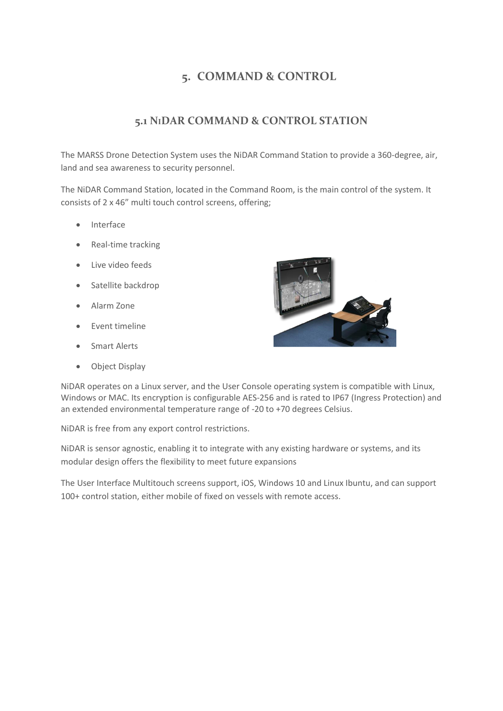## **5. COMMAND & CONTROL**

#### **5.1 NIDAR COMMAND & CONTROL STATION**

The MARSS Drone Detection System uses the NiDAR Command Station to provide a 360-degree, air, land and sea awareness to security personnel.

The NiDAR Command Station, located in the Command Room, is the main control of the system. It consists of 2 x 46" multi touch control screens, offering;

- Interface
- Real-time tracking
- Live video feeds
- Satellite backdrop
- Alarm Zone
- Event timeline
- Smart Alerts
- Object Display



NiDAR operates on a Linux server, and the User Console operating system is compatible with Linux, Windows or MAC. Its encryption is configurable AES-256 and is rated to IP67 (Ingress Protection) and an extended environmental temperature range of -20 to +70 degrees Celsius.

NiDAR is free from any export control restrictions.

NiDAR is sensor agnostic, enabling it to integrate with any existing hardware or systems, and its modular design offers the flexibility to meet future expansions

The User Interface Multitouch screens support, iOS, Windows 10 and Linux Ibuntu, and can support 100+ control station, either mobile of fixed on vessels with remote access.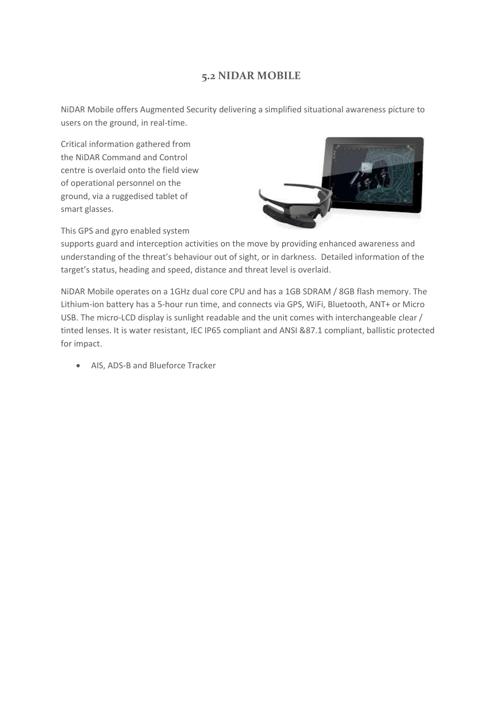#### **5.2 NIDAR MOBILE**

NiDAR Mobile offers Augmented Security delivering a simplified situational awareness picture to users on the ground, in real-time.

Critical information gathered from the NiDAR Command and Control centre is overlaid onto the field view of operational personnel on the ground, via a ruggedised tablet of smart glasses.



This GPS and gyro enabled system

supports guard and interception activities on the move by providing enhanced awareness and understanding of the threat's behaviour out of sight, or in darkness. Detailed information of the target's status, heading and speed, distance and threat level is overlaid.

NiDAR Mobile operates on a 1GHz dual core CPU and has a 1GB SDRAM / 8GB flash memory. The Lithium-ion battery has a 5-hour run time, and connects via GPS, WiFi, Bluetooth, ANT+ or Micro USB. The micro-LCD display is sunlight readable and the unit comes with interchangeable clear / tinted lenses. It is water resistant, IEC IP65 compliant and ANSI &87.1 compliant, ballistic protected for impact.

• AIS, ADS-B and Blueforce Tracker